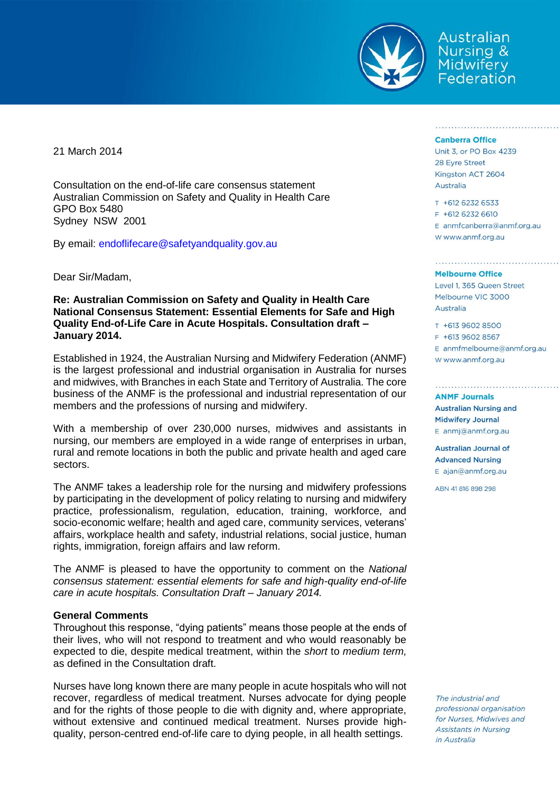

Australian Nursing & **Midwifery** Federation

21 March 2014

Consultation on the end-of-life care consensus statement Australian Commission on Safety and Quality in Health Care GPO Box 5480 Sydney NSW 2001

By email: [endoflifecare@safetyandquality.gov.au](mailto:endoflifecare@safetyandquality.gov.au)

Dear Sir/Madam,

# **Re: Australian Commission on Safety and Quality in Health Care National Consensus Statement: Essential Elements for Safe and High Quality End-of-Life Care in Acute Hospitals. Consultation draft – January 2014.**

Established in 1924, the Australian Nursing and Midwifery Federation (ANMF) is the largest professional and industrial organisation in Australia for nurses and midwives, with Branches in each State and Territory of Australia. The core business of the ANMF is the professional and industrial representation of our members and the professions of nursing and midwifery.

With a membership of over 230,000 nurses, midwives and assistants in nursing, our members are employed in a wide range of enterprises in urban, rural and remote locations in both the public and private health and aged care sectors.

The ANMF takes a leadership role for the nursing and midwifery professions by participating in the development of policy relating to nursing and midwifery practice, professionalism, regulation, education, training, workforce, and socio-economic welfare; health and aged care, community services, veterans' affairs, workplace health and safety, industrial relations, social justice, human rights, immigration, foreign affairs and law reform.

The ANMF is pleased to have the opportunity to comment on the *National consensus statement: essential elements for safe and high-quality end-of-life care in acute hospitals. Consultation Draft – January 2014.*

## **General Comments**

Throughout this response, "dying patients" means those people at the ends of their lives, who will not respond to treatment and who would reasonably be expected to die, despite medical treatment, within the *short* to *medium term,* as defined in the Consultation draft.

Nurses have long known there are many people in acute hospitals who will not recover, regardless of medical treatment. Nurses advocate for dying people and for the rights of those people to die with dignity and, where appropriate, without extensive and continued medical treatment. Nurses provide highquality, person-centred end-of-life care to dying people, in all health settings.

## **Canberra Office**

Unit 3, or PO Box 4239 28 Eyre Street Kingston ACT 2604 Australia

T +612 6232 6533

 $F$  +612 6232 6610 E anmfcanberra@anmf.org.au W www.anmf.org.au

### **Melbourne Office**

Level 1, 365 Queen Street Melbourne VIC 3000 Australia

T +613 9602 8500

F +613 9602 8567

E anmfmelbourne@anmf.org.au W www.anmf.org.au

**ANMF Journals Australian Nursing and Midwifery Journal** E anmi@anmf.org.au

**Australian Journal of Advanced Nursing** E ajan@anmf.org.au

ABN 41816898298

The industrial and professional organisation for Nurses, Midwives and **Assistants in Nursing** in Australia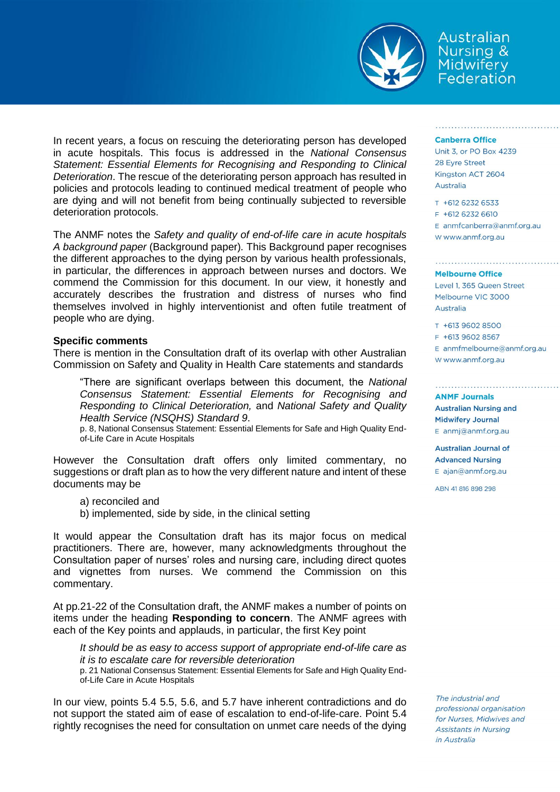

Australian Nursing & **Midwifery** Federation

In recent years, a focus on rescuing the deteriorating person has developed in acute hospitals. This focus is addressed in the *National Consensus Statement: Essential Elements for Recognising and Responding to Clinical Deterioration*. The rescue of the deteriorating person approach has resulted in policies and protocols leading to continued medical treatment of people who are dying and will not benefit from being continually subjected to reversible deterioration protocols.

The ANMF notes the *Safety and quality of end-of-life care in acute hospitals A background paper* (Background paper)*.* This Background paper recognises the different approaches to the dying person by various health professionals, in particular, the differences in approach between nurses and doctors. We commend the Commission for this document. In our view, it honestly and accurately describes the frustration and distress of nurses who find themselves involved in highly interventionist and often futile treatment of people who are dying.

## **Specific comments**

There is mention in the Consultation draft of its overlap with other Australian Commission on Safety and Quality in Health Care statements and standards

"There are significant overlaps between this document, the *National Consensus Statement: Essential Elements for Recognising and Responding to Clinical Deterioration,* and *National Safety and Quality Health Service (NSQHS) Standard 9*.

p. 8, National Consensus Statement: Essential Elements for Safe and High Quality Endof-Life Care in Acute Hospitals

However the Consultation draft offers only limited commentary, no suggestions or draft plan as to how the very different nature and intent of these documents may be

a) reconciled and

b) implemented, side by side, in the clinical setting

It would appear the Consultation draft has its major focus on medical practitioners. There are, however, many acknowledgments throughout the Consultation paper of nurses' roles and nursing care, including direct quotes and vignettes from nurses. We commend the Commission on this commentary.

At pp.21-22 of the Consultation draft, the ANMF makes a number of points on items under the heading **Responding to concern**. The ANMF agrees with each of the Key points and applauds, in particular, the first Key point

*It should be as easy to access support of appropriate end-of-life care as it is to escalate care for reversible deterioration*

p. 21 National Consensus Statement: Essential Elements for Safe and High Quality Endof-Life Care in Acute Hospitals

In our view, points 5.4 5.5, 5.6, and 5.7 have inherent contradictions and do not support the stated aim of ease of escalation to end-of-life-care. Point 5.4 rightly recognises the need for consultation on unmet care needs of the dying

### **Canberra Office**

Unit 3, or PO Box 4239 28 Eyre Street Kingston ACT 2604 Australia

T +612 6232 6533 F +612 6232 6610 E anmfcanberra@anmf.org.au

W www.anmf.org.au

#### **Melbourne Office**

Level 1, 365 Queen Street Melbourne VIC 3000 Australia

T +613 9602 8500 F +613 9602 8567 E anmfmelbourne@anmf.org.au W www.anmf.org.au

**ANMF Journals Australian Nursing and Midwifery Journal** E anmi@anmf.org.au

**Australian Journal of Advanced Nursing**  $E$  ajan@anmf.org.au

ABN 41816898298

The industrial and professional organisation for Nurses, Midwives and **Assistants in Nursing** in Australia